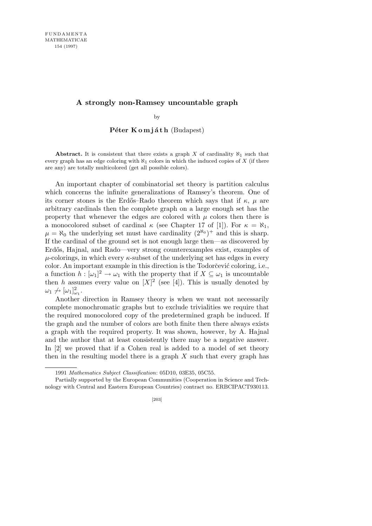## **A strongly non-Ramsey uncountable graph**

by

## Péter Komjáth (Budapest)

**Abstract.** It is consistent that there exists a graph  $X$  of cardinality  $\aleph_1$  such that every graph has an edge coloring with  $\aleph_1$  colors in which the induced copies of X (if there are any) are totally multicolored (get all possible colors).

An important chapter of combinatorial set theory is partition calculus which concerns the infinite generalizations of Ramsey's theorem. One of its corner stones is the Erdős–Rado theorem which says that if  $\kappa$ ,  $\mu$  are arbitrary cardinals then the complete graph on a large enough set has the property that whenever the edges are colored with  $\mu$  colors then there is a monocolored subset of cardinal  $\kappa$  (see Chapter 17 of [1]). For  $\kappa = \aleph_1$ ,  $\mu = \aleph_0$  the underlying set must have cardinality  $(2^{\aleph_0})^+$  and this is sharp. If the cardinal of the ground set is not enough large then—as discovered by Erdős, Hajnal, and Rado—very strong counterexamples exist, examples of *µ*-colorings, in which every *κ*-subset of the underlying set has edges in every color. An important example in this direction is the Todorčević coloring, i.e., a function  $h: [\omega_1]^2 \to \omega_1$  with the property that if  $X \subseteq \omega_1$  is uncountable then *h* assumes every value on  $[X]^2$  (see [4]). This is usually denoted by  $\omega_1 \nrightarrow [\omega_1]_{\omega_1}^2$ .

Another direction in Ramsey theory is when we want not necessarily complete monochromatic graphs but to exclude trivialities we require that the required monocolored copy of the predetermined graph be induced. If the graph and the number of colors are both finite then there always exists a graph with the required property. It was shown, however, by A. Hajnal and the author that at least consistently there may be a negative answer. In [2] we proved that if a Cohen real is added to a model of set theory then in the resulting model there is a graph *X* such that every graph has

<sup>1991</sup> *Mathematics Subject Classification*: 05D10, 03E35, 05C55.

Partially supported by the European Communities (Cooperation in Science and Technology with Central and Eastern European Countries) contract no. ERBCIPACT930113.

<sup>[203]</sup>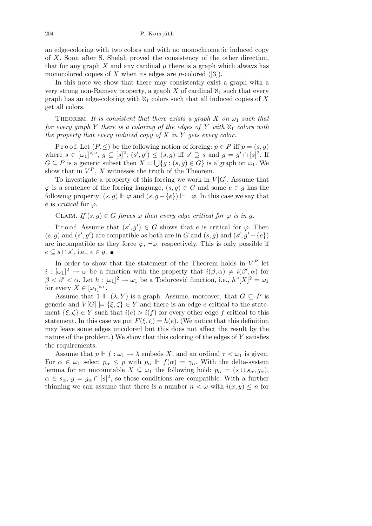204 P. Komjáth

an edge-coloring with two colors and with no monochromatic induced copy of *X*. Soon after S. Shelah proved the consistency of the other direction, that for any graph *X* and any cardinal  $\mu$  there is a graph which always has monocolored copies of *X* when its edges are  $\mu$ -colored ([3]).

In this note we show that there may consistently exist a graph with a very strong non-Ramsey property, a graph *X* of cardinal  $\aleph_1$  such that every graph has an edge-coloring with  $\aleph_1$  colors such that all induced copies of X get all colors.

THEOREM. It is consistent that there exists a graph  $X$  on  $\omega_1$  such that *for every graph Y there is a coloring of the edges of Y with*  $\aleph_1$  *colors with the property that every induced copy of X in Y gets every color.*

P r o o f. Let  $(P, \leq)$  be the following notion of forcing:  $p \in P$  iff  $p = (s, q)$ where  $s \in [\omega_1]^{<\omega}$ ,  $g \subseteq [s]^2$ ;  $(s', g') \le (s, g)$  iff  $s' \supseteq s$  and  $g = g' \cap [s]^2$ . If *G* ⊆ *P* is a generic subset then  $X = \bigcup \{g : (s, g) \in G\}$  is a graph on  $\omega_1$ . We show that in  $V^P$ ,  $X$  witnesses the truth of the Theorem.

To investigate a property of this forcing we work in  $V[G]$ . Assume that  $\varphi$  is a sentence of the forcing language,  $(s, g) \in G$  and some  $e \in g$  has the following property:  $(s, g) \Vdash \varphi$  and  $(s, g - \{e\}) \Vdash \neg \varphi$ . In this case we say that  $e$  is *critical* for  $\varphi$ .

CLAIM. If  $(s, q) \in G$  forces  $\varphi$  then every edge critical for  $\varphi$  is in g.

Proof. Assume that  $(s', g') \in G$  shows that *e* is critical for  $\varphi$ . Then  $(s, g)$  and  $(s', g')$  are compatible as both are in *G* and  $(s, g)$  and  $(s', g' - \{e\})$ are incompatible as they force  $\varphi$ ,  $\neg \varphi$ , respectively. This is only possible if  $e \subseteq s \cap s'$ , i.e.,  $e \in g$ .

In order to show that the statement of the Theorem holds in  $V^P$  let  $i : [\omega_1]^2 \to \omega$  be a function with the property that  $i(\beta, \alpha) \neq i(\beta', \alpha)$  for *β*  $\lt$  *β'*  $\lt$  *α*. Let *h* : [*ω*<sub>1</sub>]<sup>2</sup> → *ω*<sub>1</sub> be a Todorčević function, i.e., *h*"[*X*]<sup>2</sup> = *ω*<sub>1</sub> for every  $X \in [\omega_1]^{\omega_1}$ .

Assume that  $1 \Vdash (\lambda, Y)$  is a graph. Assume, moreover, that  $G \subseteq P$  is generic and  $V[G] \models {\{\xi, \zeta\}} \in Y$  and there is an edge *e* critical to the statement  $\{\xi, \zeta\} \in Y$  such that  $i(e) > i(f)$  for every other edge f critical to this statement. In this case we put  $F(\xi, \zeta) = h(e)$ . (We notice that this definition may leave some edges uncolored but this does not affect the result by the nature of the problem.) We show that this coloring of the edges of *Y* satisfies the requirements.

Assume that  $p \Vdash f : \omega_1 \to \lambda$  embeds X, and an ordinal  $\tau < \omega_1$  is given. For  $\alpha \in \omega_1$  select  $p_\alpha \leq p$  with  $p_\alpha \Vdash f(\alpha) = \gamma_\alpha$ . With the delta-system lemma for an uncountable  $X \subseteq \omega_1$  the following hold:  $p_\alpha = (s \cup s_\alpha, g_\alpha)$ ,  $\alpha \in s_\alpha, g = g_\alpha \cap [s]^2$ , so these conditions are compatible. With a further thinning we can assume that there is a number  $n < \omega$  with  $i(x, y) \leq n$  for